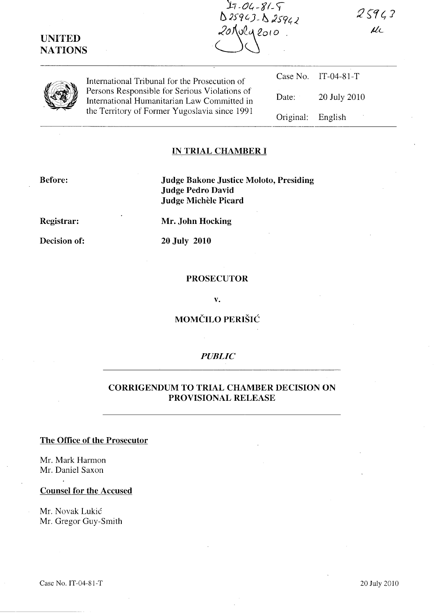$0.25943 - 0.25942$ 20 Nola 2010.

 $25943$  $\mu$ 

**UNITED NATIONS** 

> Persons Responsible for Serious Violations of International Humanitarian Law Committed in the Territory of Former Yugoslavia since 1991

Case No. IT-04-81-T International Tribunal for the Prosecution of Date: 20 July 2010 Original: English

## **IN TRIAL CHAMBER I**

**Before:** 

**Judge Bakone Justice Moloto, Presiding Judge Pedro David Judge MicheIe Picard** 

 $17 - 04 - 81 - 9$ 

**Registrar:** 

**Decision of:** 

**Mr. John Hocking** 

**20 July 2010** 

#### **PROSECUTOR**

**v.** 

# **MOMCILO PERISH::**

## *PUBLIC*

# **CORRIGENDUM TO TRIAL CHAMBER DECISION ON PROVISIONAL RELEASE**

## **The Office of the Prosecutor**

Mr. Mark Harmon Mr. Daniel Saxon

#### **Counsel for the Accused**

Mr. Novak Lukic Mr. Gregor Guy-Smith